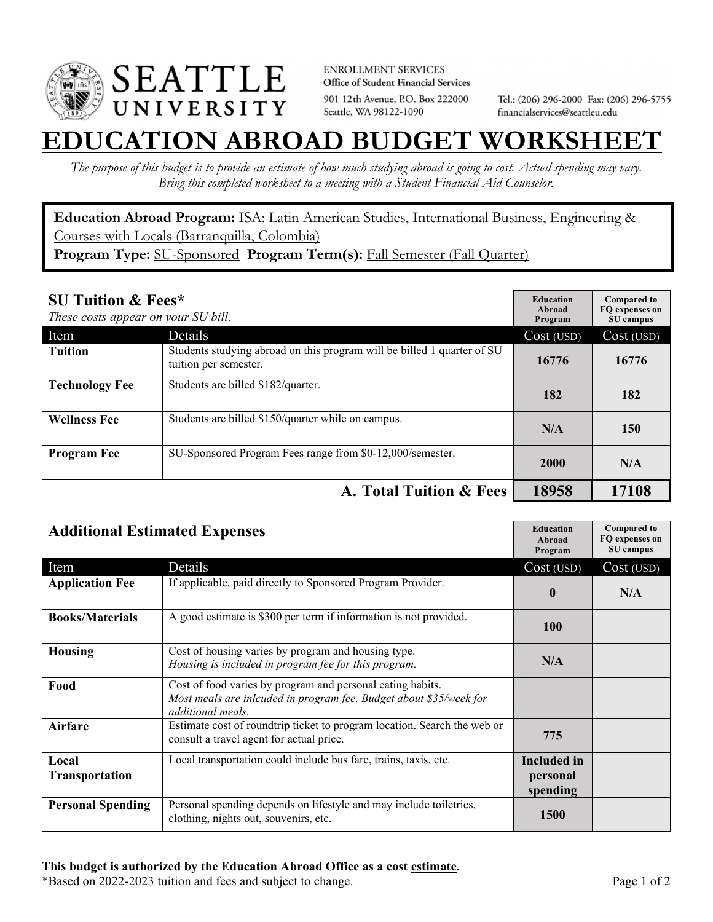

**ENROLLMENT SERVICES** Office of Student Financial Services 901 12th Avenue, P.O. Box 222000 Seattle, WA 98122-1090

Tel.: (206) 296-2000 Fax: (206) 296-5755 financialservices@seattleu.edu

## **EATION ABROAD BUDGET WORKSHEE**

*The purpose of this budget is to provide an estimate of how much studying abroad is going to cost. Actual spending may vary. Bring this completed worksheet to a meeting with a Student Financial Aid Counselor.* 

**Education Abroad Program:** ISA: Latin American Studies, International Business, Engineering & Courses with Locals (Barranquilla, Colombia) **Program Type:** SU-Sponsored **Program Term(s):** Fall Semester (Fall Quarter)

| <b>SU Tuition &amp; Fees*</b><br>These costs appear on your SU bill. |                                                                                                  | <b>Education</b><br>Abroad<br>Program | <b>Compared to</b><br>FO expenses on<br>SU campus |
|----------------------------------------------------------------------|--------------------------------------------------------------------------------------------------|---------------------------------------|---------------------------------------------------|
| Item                                                                 | Details                                                                                          | Cost (USD)                            | Cost (USD)                                        |
| <b>Tuition</b>                                                       | Students studying abroad on this program will be billed 1 quarter of SU<br>tuition per semester. | 16776                                 | 16776                                             |
| <b>Technology Fee</b>                                                | Students are billed \$182/quarter.                                                               | 182                                   | 182                                               |
| <b>Wellness Fee</b>                                                  | Students are billed \$150/quarter while on campus.                                               | N/A                                   | 150                                               |
| <b>Program Fee</b>                                                   | SU-Sponsored Program Fees range from \$0-12,000/semester.                                        | 2000                                  | N/A                                               |
|                                                                      | A. Total Tuition & Fees                                                                          | 18958                                 | 17108                                             |

| <b>Additional Estimated Expenses</b> |                                                                                                                                                       | <b>Education</b><br>Abroad<br>Program      | <b>Compared to</b><br>FQ expenses on<br>SU campus |
|--------------------------------------|-------------------------------------------------------------------------------------------------------------------------------------------------------|--------------------------------------------|---------------------------------------------------|
| Item                                 | Details                                                                                                                                               | Cost (USD)                                 | Cost (USD)                                        |
| <b>Application Fee</b>               | If applicable, paid directly to Sponsored Program Provider.                                                                                           | $\mathbf{0}$                               | N/A                                               |
| <b>Books/Materials</b>               | A good estimate is \$300 per term if information is not provided.                                                                                     | <b>100</b>                                 |                                                   |
| <b>Housing</b>                       | Cost of housing varies by program and housing type.<br>Housing is included in program fee for this program.                                           | N/A                                        |                                                   |
| Food                                 | Cost of food varies by program and personal eating habits.<br>Most meals are inlcuded in program fee. Budget about \$35/week for<br>additional meals. |                                            |                                                   |
| <b>Airfare</b>                       | Estimate cost of roundtrip ticket to program location. Search the web or<br>consult a travel agent for actual price.                                  | 775                                        |                                                   |
| Local<br><b>Transportation</b>       | Local transportation could include bus fare, trains, taxis, etc.                                                                                      | <b>Included</b> in<br>personal<br>spending |                                                   |
| <b>Personal Spending</b>             | Personal spending depends on lifestyle and may include toiletries,<br>clothing, nights out, souvenirs, etc.                                           | <b>1500</b>                                |                                                   |

\*Based on 2022-2023 tuition and fees and subject to change. Page 1 of 2